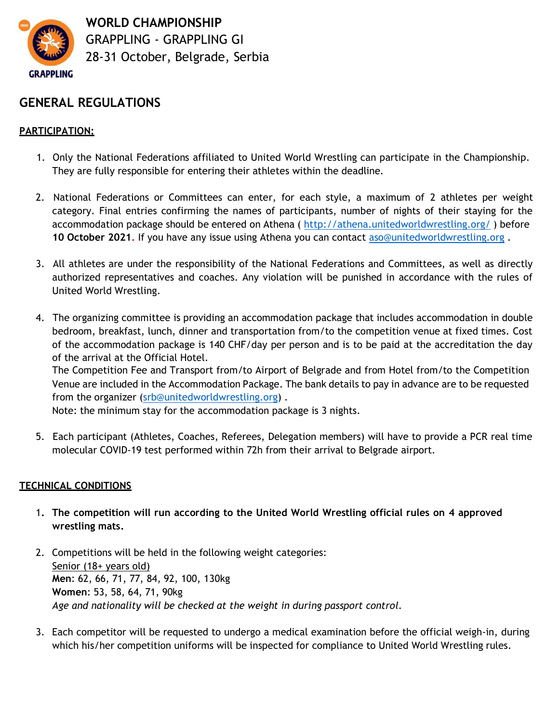

**WORLD CHAMPIONSHIP** GRAPPLING - GRAPPLING GI 28-31 October, Belgrade, Serbia

## **GENERAL REGULATIONS**

### **PARTICIPATION:**

- 1. Only the National Federations affiliated to United World Wrestling can participate in the Championship. They are fully responsible for entering their athletes within the deadline.
- 2. National Federations or Committees can enter, for each style, a maximum of 2 athletes per weight category. Final entries confirming the names of participants, number of nights of their staying for the accommodation package should be entered on Athena (<http://athena.unitedworldwrestling.org/> ) before **10 October 2021.** If you have any issue using Athena you can contact [aso@unitedworldwrestling.org](mailto:aso@unitedworldwrestling.org) .
- 3. All athletes are under the responsibility of the National Federations and Committees, as well as directly authorized representatives and coaches. Any violation will be punished in accordance with the rules of United World Wrestling.
- 4. The organizing committee is providing an accommodation package that includes accommodation in double bedroom, breakfast, lunch, dinner and transportation from/to the competition venue at fixed times. Cost of the accommodation package is 140 CHF/day per person and is to be paid at the accreditation the day of the arrival at the Official Hotel.

The Competition Fee and Transport from/to Airport of Belgrade and from Hotel from/to the Competition Venue are included in the Accommodation Package. The bank details to pay in advance are to be requested from the organizer [\(srb@unitedworldwrestling.org\)](mailto:srb@unitedworldwrestling.org) .

Note: the minimum stay for the accommodation package is 3 nights.

5. Each participant (Athletes, Coaches, Referees, Delegation members) will have to provide a PCR real time molecular COVID-19 test performed within 72h from their arrival to Belgrade airport.

### **TECHNICAL CONDITIONS**

- 1**. The competition will run according to the United World Wrestling official rules on 4 approved wrestling mats.**
- 2. Competitions will be held in the following weight categories: Senior (18+ years old) **Men**: 62, 66, 71, 77, 84, 92, 100, 130kg **Women**: 53, 58, 64, 71, 90kg *Age and nationality will be checked at the weight in during passport control.*
- 3. Each competitor will be requested to undergo a medical examination before the official weigh-in, during which his/her competition uniforms will be inspected for compliance to United World Wrestling rules.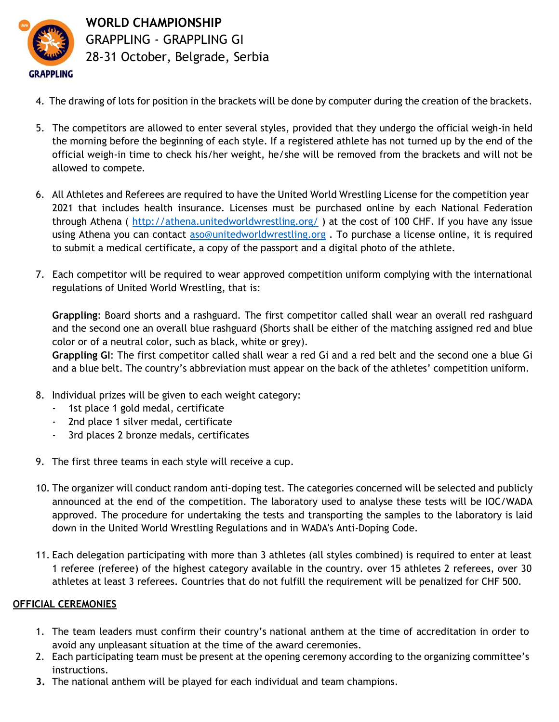

**WORLD CHAMPIONSHIP** GRAPPLING - GRAPPLING GI 28-31 October, Belgrade, Serbia

- 4. The drawing of lots for position in the brackets will be done by computer during the creation of the brackets.
- 5. The competitors are allowed to enter several styles, provided that they undergo the official weigh-in held the morning before the beginning of each style. If a registered athlete has not turned up by the end of the official weigh-in time to check his/her weight, he/she will be removed from the brackets and will not be allowed to compete.
- 6. All Athletes and Referees are required to have the United World Wrestling License for the competition year 2021 that includes health insurance. Licenses must be purchased online by each National Federation through Athena (<http://athena.unitedworldwrestling.org/> ) at the cost of 100 CHF. If you have any issue using Athena you can contact [aso@unitedworldwrestling.org](mailto:aso@unitedworldwrestling.org). To purchase a license online, it is required to submit a medical certificate, a copy of the passport and a digital photo of the athlete.
- 7. Each competitor will be required to wear approved competition uniform complying with the international regulations of United World Wrestling, that is:

**Grappling**: Board shorts and a rashguard. The first competitor called shall wear an overall red rashguard and the second one an overall blue rashguard (Shorts shall be either of the matching assigned red and blue color or of a neutral color, such as black, white or grey).

**Grappling GI**: The first competitor called shall wear a red Gi and a red belt and the second one a blue Gi and a blue belt. The country's abbreviation must appear on the back of the athletes' competition uniform.

- 8. Individual prizes will be given to each weight category:
	- 1st place 1 gold medal, certificate
	- 2nd place 1 silver medal, certificate
	- 3rd places 2 bronze medals, certificates
- 9. The first three teams in each style will receive a cup.
- 10. The organizer will conduct random anti-doping test. The categories concerned will be selected and publicly announced at the end of the competition. The laboratory used to analyse these tests will be IOC/WADA approved. The procedure for undertaking the tests and transporting the samples to the laboratory is laid down in the United World Wrestling Regulations and in WADA's Anti-Doping Code.
- 11. Each delegation participating with more than 3 athletes (all styles combined) is required to enter at least 1 referee (referee) of the highest category available in the country. over 15 athletes 2 referees, over 30 athletes at least 3 referees. Countries that do not fulfill the requirement will be penalized for CHF 500.

#### **OFFICIAL CEREMONIES**

- 1. The team leaders must confirm their country's national anthem at the time of accreditation in order to avoid any unpleasant situation at the time of the award ceremonies.
- 2. Each participating team must be present at the opening ceremony according to the organizing committee's instructions.
- **3.** The national anthem will be played for each individual and team champions.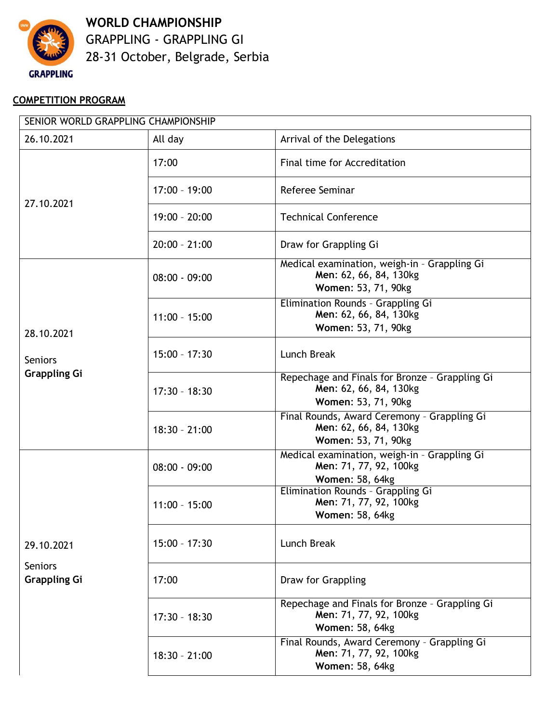

**WORLD CHAMPIONSHIP** GRAPPLING - GRAPPLING GI 28-31 October, Belgrade, Serbia

## **COMPETITION PROGRAM**

| SENIOR WORLD GRAPPLING CHAMPIONSHIP                 |                 |                                                                                                 |  |
|-----------------------------------------------------|-----------------|-------------------------------------------------------------------------------------------------|--|
| 26.10.2021                                          | All day         | Arrival of the Delegations                                                                      |  |
| 27.10.2021                                          | 17:00           | Final time for Accreditation                                                                    |  |
|                                                     | $17:00 - 19:00$ | Referee Seminar                                                                                 |  |
|                                                     | $19:00 - 20:00$ | <b>Technical Conference</b>                                                                     |  |
|                                                     | $20:00 - 21:00$ | Draw for Grappling Gi                                                                           |  |
| 28.10.2021<br><b>Seniors</b><br><b>Grappling Gi</b> | $08:00 - 09:00$ | Medical examination, weigh-in - Grappling Gi<br>Men: 62, 66, 84, 130kg<br>Women: 53, 71, 90kg   |  |
|                                                     | $11:00 - 15:00$ | Elimination Rounds - Grappling Gi<br>Men: 62, 66, 84, 130kg<br>Women: 53, 71, 90kg              |  |
|                                                     | $15:00 - 17:30$ | Lunch Break                                                                                     |  |
|                                                     | $17:30 - 18:30$ | Repechage and Finals for Bronze - Grappling Gi<br>Men: 62, 66, 84, 130kg<br>Women: 53, 71, 90kg |  |
|                                                     | $18:30 - 21:00$ | Final Rounds, Award Ceremony - Grappling Gi<br>Men: 62, 66, 84, 130kg<br>Women: 53, 71, 90kg    |  |
|                                                     | $08:00 - 09:00$ | Medical examination, weigh-in - Grappling Gi<br>Men: 71, 77, 92, 100kg<br>Women: 58, 64kg       |  |
|                                                     | $11:00 - 15:00$ | Elimination Rounds - Grappling Gi<br>Men: 71, 77, 92, 100kg<br>Women: 58, 64kg                  |  |
| 29.10.2021                                          | $15:00 - 17:30$ | Lunch Break                                                                                     |  |
| <b>Seniors</b><br><b>Grappling Gi</b>               | 17:00           | Draw for Grappling                                                                              |  |
|                                                     | $17:30 - 18:30$ | Repechage and Finals for Bronze - Grappling Gi<br>Men: 71, 77, 92, 100kg<br>Women: 58, 64kg     |  |
|                                                     | $18:30 - 21:00$ | Final Rounds, Award Ceremony - Grappling Gi<br>Men: 71, 77, 92, 100kg<br>Women: 58, 64kg        |  |